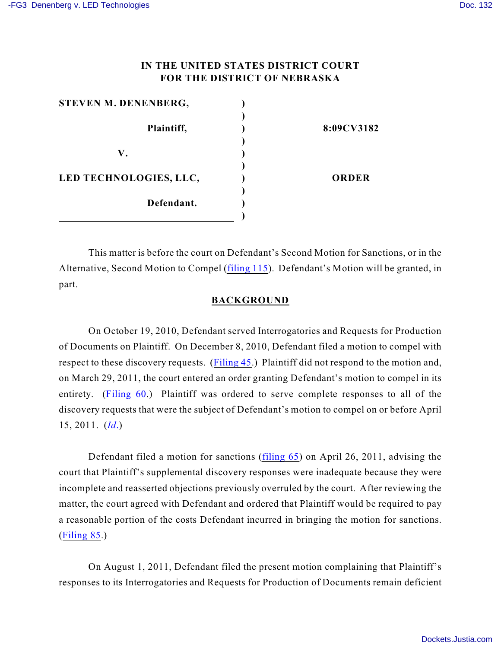# **IN THE UNITED STATES DISTRICT COURT FOR THE DISTRICT OF NEBRASKA**

| STEVEN M. DENENBERG,   |              |
|------------------------|--------------|
|                        |              |
| Plaintiff,             | 8:09CV3182   |
|                        |              |
| V.                     |              |
|                        |              |
| LED TECHNOLOGIES, LLC, | <b>ORDER</b> |
|                        |              |
| Defendant.             |              |
|                        |              |

This matter is before the court on Defendant's Second Motion for Sanctions, or in the Alternative, Second Motion to Compel [\(filing 115](https://ecf.ned.uscourts.gov/doc1/11312321491)). Defendant's Motion will be granted, in part.

### **BACKGROUND**

On October 19, 2010, Defendant served Interrogatories and Requests for Production of Documents on Plaintiff. On December 8, 2010, Defendant filed a motion to compel with respect to these discovery requests. ([Filing 45](https://ecf.ned.uscourts.gov/doc1/11312161004).) Plaintiff did not respond to the motion and, on March 29, 2011, the court entered an order granting Defendant's motion to compel in its entirety. [\(Filing 60](https://ecf.ned.uscourts.gov/doc1/11312237893).) Plaintiff was ordered to serve complete responses to all of the discovery requests that were the subject of Defendant's motion to compel on or before April 15, 2011. (*[Id](https://ecf.ned.uscourts.gov/doc1/11312237893)*.)

Defendant filed a motion for sanctions [\(filing 65](https://ecf.ned.uscourts.gov/doc1/11312257056)) on April 26, 2011, advising the court that Plaintiff's supplemental discovery responses were inadequate because they were incomplete and reasserted objections previously overruled by the court. After reviewing the matter, the court agreed with Defendant and ordered that Plaintiff would be required to pay a reasonable portion of the costs Defendant incurred in bringing the motion for sanctions. ([Filing 85](https://ecf.ned.uscourts.gov/doc1/11312298496).)

On August 1, 2011, Defendant filed the present motion complaining that Plaintiff's responses to its Interrogatories and Requests for Production of Documents remain deficient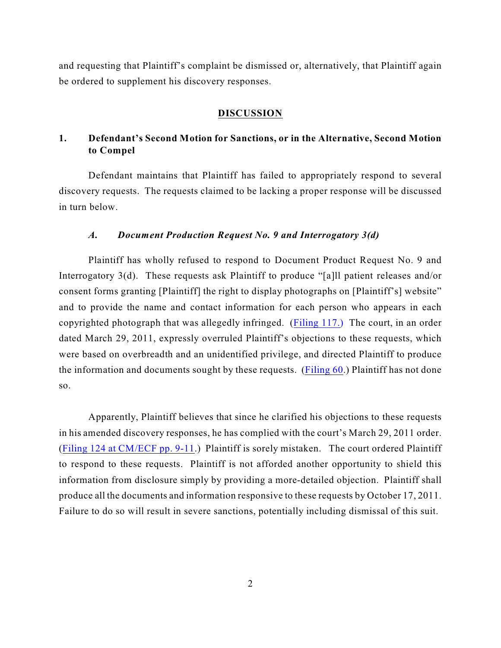and requesting that Plaintiff's complaint be dismissed or, alternatively, that Plaintiff again be ordered to supplement his discovery responses.

#### **DISCUSSION**

# **1. Defendant's Second Motion for Sanctions, or in the Alternative, Second Motion to Compel**

Defendant maintains that Plaintiff has failed to appropriately respond to several discovery requests. The requests claimed to be lacking a proper response will be discussed in turn below.

### *A. Document Production Request No. 9 and Interrogatory 3(d)*

Plaintiff has wholly refused to respond to Document Product Request No. 9 and Interrogatory 3(d). These requests ask Plaintiff to produce "[a]ll patient releases and/or consent forms granting [Plaintiff] the right to display photographs on [Plaintiff's] website" and to provide the name and contact information for each person who appears in each copyrighted photograph that was allegedly infringed. [\(Filing 117.\)](https://ecf.ned.uscourts.gov/doc1/11302321497) The court, in an order dated March 29, 2011, expressly overruled Plaintiff's objections to these requests, which were based on overbreadth and an unidentified privilege, and directed Plaintiff to produce the information and documents sought by these requests. [\(Filing 60](https://ecf.ned.uscourts.gov/doc1/11312237893).) Plaintiff has not done so.

Apparently, Plaintiff believes that since he clarified his objections to these requests in his amended discovery responses, he has complied with the court's March 29, 2011 order. ([Filing 124 at CM/ECF pp. 9-11](https://ecf.ned.uscourts.gov/doc1/11312335857).) Plaintiff is sorely mistaken. The court ordered Plaintiff to respond to these requests. Plaintiff is not afforded another opportunity to shield this information from disclosure simply by providing a more-detailed objection. Plaintiff shall produce all the documents and information responsive to these requests by October 17, 2011. Failure to do so will result in severe sanctions, potentially including dismissal of this suit.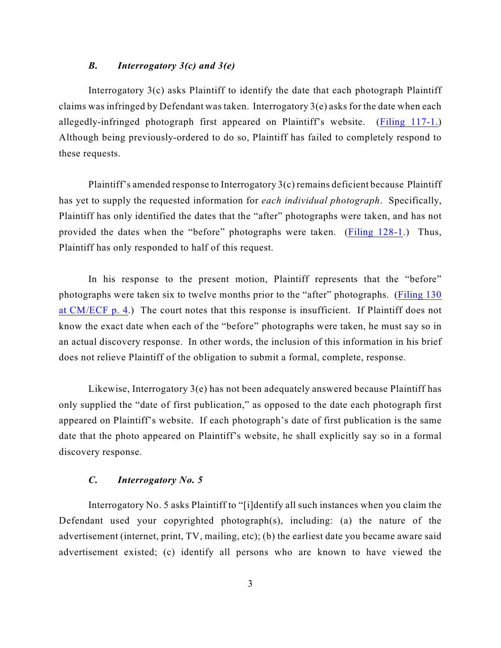### *B. Interrogatory 3(c) and 3(e)*

Interrogatory  $3(c)$  asks Plaintiff to identify the date that each photograph Plaintiff claims was infringed by Defendant was taken. Interrogatory 3(e) asks for the date when each allegedly-infringed photograph first appeared on Plaintiff's website. [\(Filing 117-1.](https://ecf.ned.uscourts.gov/doc1/11302321497)) Although being previously-ordered to do so, Plaintiff has failed to completely respond to these requests.

Plaintiff's amended response to Interrogatory 3(c) remains deficient because Plaintiff has yet to supply the requested information for *each individual photograph*. Specifically, Plaintiff has only identified the dates that the "after" photographs were taken, and has not provided the dates when the "before" photographs were taken. [\(Filing 128-1](https://ecf.ned.uscourts.gov/doc1/11302343143).) Thus, Plaintiff has only responded to half of this request.

In his response to the present motion, Plaintiff represents that the "before" photographs were taken six to twelve months prior to the "after" photographs. [\(Filing 130](https://ecf.ned.uscourts.gov/doc1/11312350612) [at CM/ECF p. 4](https://ecf.ned.uscourts.gov/doc1/11312350612).) The court notes that this response is insufficient. If Plaintiff does not know the exact date when each of the "before" photographs were taken, he must say so in an actual discovery response. In other words, the inclusion of this information in his brief does not relieve Plaintiff of the obligation to submit a formal, complete, response.

Likewise, Interrogatory 3(e) has not been adequately answered because Plaintiff has only supplied the "date of first publication," as opposed to the date each photograph first appeared on Plaintiff's website. If each photograph's date of first publication is the same date that the photo appeared on Plaintiff's website, he shall explicitly say so in a formal discovery response.

#### *C. Interrogatory No. 5*

Interrogatory No. 5 asks Plaintiff to "[i]dentify all such instances when you claim the Defendant used your copyrighted photograph(s), including: (a) the nature of the advertisement (internet, print, TV, mailing, etc); (b) the earliest date you became aware said advertisement existed; (c) identify all persons who are known to have viewed the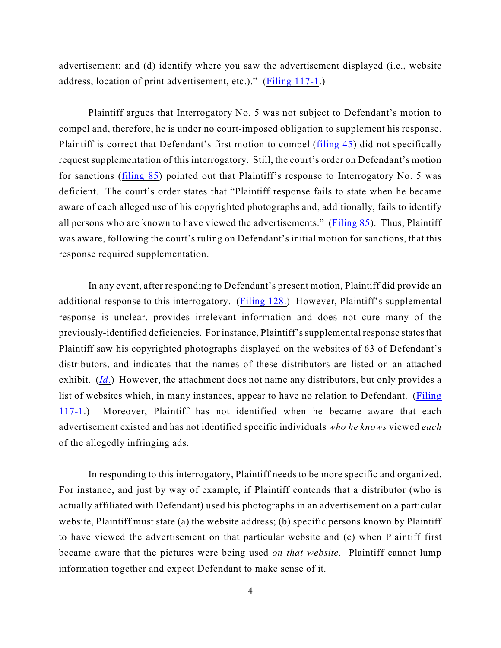advertisement; and (d) identify where you saw the advertisement displayed (i.e., website address, location of print advertisement, etc.)." [\(Filing 117-1](https://ecf.ned.uscourts.gov/doc1/11302321497).)

Plaintiff argues that Interrogatory No. 5 was not subject to Defendant's motion to compel and, therefore, he is under no court-imposed obligation to supplement his response. Plaintiff is correct that Defendant's first motion to compel ([filing 45](https://ecf.ned.uscourts.gov/doc1/11312161004)) did not specifically request supplementation of this interrogatory. Still, the court's order on Defendant's motion for sanctions [\(filing 85](https://ecf.ned.uscourts.gov/doc1/11312298496)) pointed out that Plaintiff's response to Interrogatory No. 5 was deficient. The court's order states that "Plaintiff response fails to state when he became aware of each alleged use of his copyrighted photographs and, additionally, fails to identify all persons who are known to have viewed the advertisements." ([Filing 85](https://ecf.ned.uscourts.gov/doc1/11312298496)). Thus, Plaintiff was aware, following the court's ruling on Defendant's initial motion for sanctions, that this response required supplementation.

In any event, after responding to Defendant's present motion, Plaintiff did provide an additional response to this interrogatory. ([Filing 128.](https://ecf.ned.uscourts.gov/doc1/11302343143)) However, Plaintiff's supplemental response is unclear, provides irrelevant information and does not cure many of the previously-identified deficiencies. For instance, Plaintiff's supplemental response states that Plaintiff saw his copyrighted photographs displayed on the websites of 63 of Defendant's distributors, and indicates that the names of these distributors are listed on an attached exhibit. (*[Id](https://ecf.ned.uscourts.gov/doc1/11302343143)*.) However, the attachment does not name any distributors, but only provides a list of websites which, in many instances, appear to have no relation to Defendant. ([Filing](https://ecf.ned.uscourts.gov/doc1/11302321497) [117-1](https://ecf.ned.uscourts.gov/doc1/11302321497).) Moreover, Plaintiff has not identified when he became aware that each advertisement existed and has not identified specific individuals *who he knows* viewed *each* of the allegedly infringing ads.

In responding to this interrogatory, Plaintiff needs to be more specific and organized. For instance, and just by way of example, if Plaintiff contends that a distributor (who is actually affiliated with Defendant) used his photographs in an advertisement on a particular website, Plaintiff must state (a) the website address; (b) specific persons known by Plaintiff to have viewed the advertisement on that particular website and (c) when Plaintiff first became aware that the pictures were being used *on that website*. Plaintiff cannot lump information together and expect Defendant to make sense of it.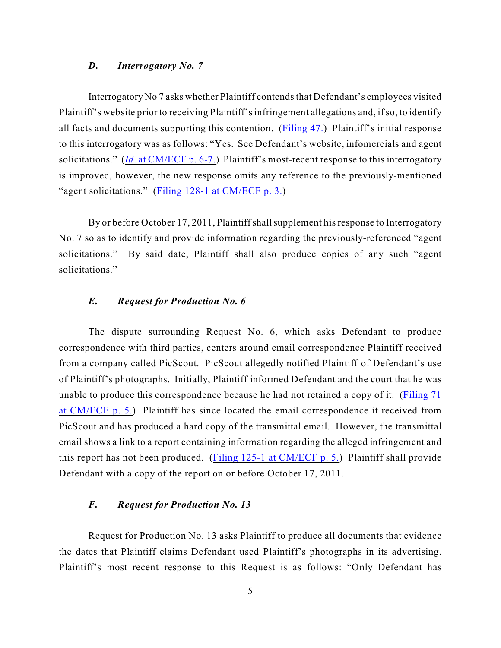### *D. Interrogatory No. 7*

Interrogatory No 7 asks whether Plaintiff contends that Defendant's employees visited Plaintiff's website prior to receiving Plaintiff's infringement allegations and, if so, to identify all facts and documents supporting this contention. ([Filing 47.](https://ecf.ned.uscourts.gov/doc1/11312161022)) Plaintiff's initial response to this interrogatory was as follows: "Yes. See Defendant's website, infomercials and agent solicitations." (*Id*[. at CM/ECF p. 6-7.](https://ecf.ned.uscourts.gov/doc1/11312161022)) Plaintiff's most-recent response to this interrogatory is improved, however, the new response omits any reference to the previously-mentioned "agent solicitations." [\(Filing 128-1 at CM/ECF p. 3.](https://ecf.ned.uscourts.gov/doc1/11302343143))

By or before October 17, 2011, Plaintiff shall supplement his response to Interrogatory No. 7 so as to identify and provide information regarding the previously-referenced "agent solicitations." By said date, Plaintiff shall also produce copies of any such "agent solicitations."

### *E. Request for Production No. 6*

The dispute surrounding Request No. 6, which asks Defendant to produce correspondence with third parties, centers around email correspondence Plaintiff received from a company called PicScout. PicScout allegedly notified Plaintiff of Defendant's use of Plaintiff's photographs. Initially, Plaintiff informed Defendant and the court that he was unable to produce this correspondence because he had not retained a copy of it. [\(Filing 71](https://ecf.ned.uscourts.gov/doc1/11312265237) [at CM/ECF p. 5.](https://ecf.ned.uscourts.gov/doc1/11312265237)) Plaintiff has since located the email correspondence it received from PicScout and has produced a hard copy of the transmittal email. However, the transmittal email shows a link to a report containing information regarding the alleged infringement and this report has not been produced. [\(Filing 125-1 at CM/ECF p. 5.](https://ecf.ned.uscourts.gov/doc1/11302335870)) Plaintiff shall provide Defendant with a copy of the report on or before October 17, 2011.

### *F. Request for Production No. 13*

Request for Production No. 13 asks Plaintiff to produce all documents that evidence the dates that Plaintiff claims Defendant used Plaintiff's photographs in its advertising. Plaintiff's most recent response to this Request is as follows: "Only Defendant has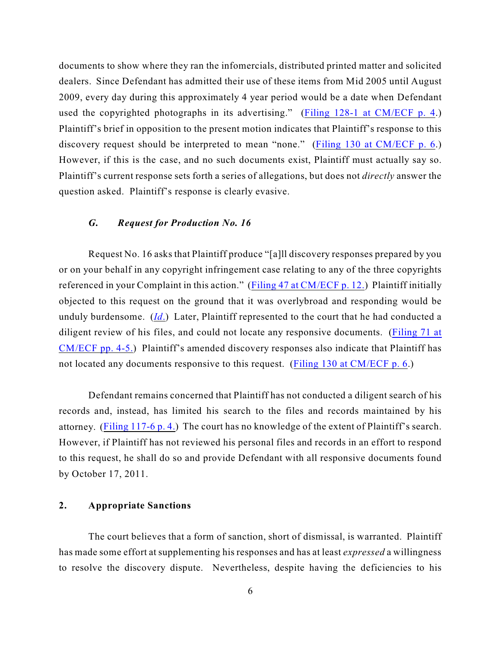documents to show where they ran the infomercials, distributed printed matter and solicited dealers. Since Defendant has admitted their use of these items from Mid 2005 until August 2009, every day during this approximately 4 year period would be a date when Defendant used the copyrighted photographs in its advertising." [\(Filing 128-1 at CM/ECF p. 4](https://ecf.ned.uscourts.gov/doc1/11302343143).) Plaintiff's brief in opposition to the present motion indicates that Plaintiff's response to this discovery request should be interpreted to mean "none." ([Filing 130 at CM/ECF p. 6](https://ecf.ned.uscourts.gov/doc1/11312350612).) However, if this is the case, and no such documents exist, Plaintiff must actually say so. Plaintiff's current response sets forth a series of allegations, but does not *directly* answer the question asked. Plaintiff's response is clearly evasive.

### *G. Request for Production No. 16*

Request No. 16 asks that Plaintiff produce "[a]ll discovery responses prepared by you or on your behalf in any copyright infringement case relating to any of the three copyrights referenced in your Complaint in this action." ([Filing 47 at CM/ECF p. 12.](https://ecf.ned.uscourts.gov/doc1/11312161022)) Plaintiff initially objected to this request on the ground that it was overlybroad and responding would be unduly burdensome. (*[Id](https://ecf.ned.uscourts.gov/doc1/11312161022)*.) Later, Plaintiff represented to the court that he had conducted a diligent review of his files, and could not locate any responsive documents. [\(Filing 71 at](https://ecf.ned.uscourts.gov/doc1/11312265237) [CM/ECF pp. 4-5.](https://ecf.ned.uscourts.gov/doc1/11312265237)) Plaintiff's amended discovery responses also indicate that Plaintiff has not located any documents responsive to this request. [\(Filing 130 at CM/ECF p. 6](https://ecf.ned.uscourts.gov/doc1/11312350612).)

Defendant remains concerned that Plaintiff has not conducted a diligent search of his records and, instead, has limited his search to the files and records maintained by his attorney. [\(Filing 117-6 p. 4.](https://ecf.ned.uscourts.gov/doc1/11302321497)) The court has no knowledge of the extent of Plaintiff's search. However, if Plaintiff has not reviewed his personal files and records in an effort to respond to this request, he shall do so and provide Defendant with all responsive documents found by October 17, 2011.

### **2. Appropriate Sanctions**

The court believes that a form of sanction, short of dismissal, is warranted. Plaintiff has made some effort at supplementing his responses and has at least *expressed* a willingness to resolve the discovery dispute. Nevertheless, despite having the deficiencies to his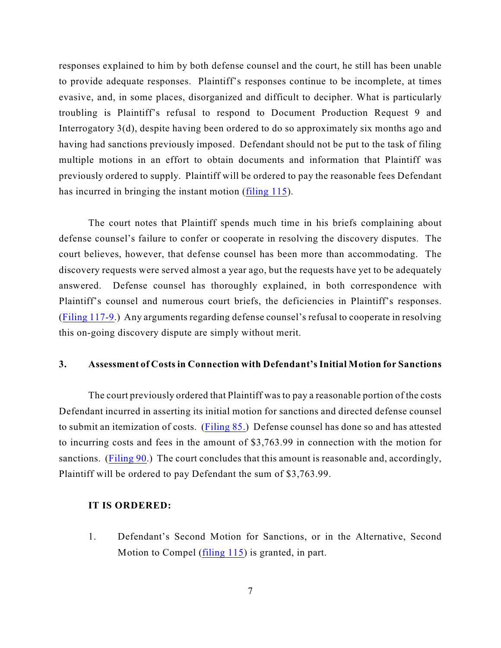responses explained to him by both defense counsel and the court, he still has been unable to provide adequate responses. Plaintiff's responses continue to be incomplete, at times evasive, and, in some places, disorganized and difficult to decipher. What is particularly troubling is Plaintiff's refusal to respond to Document Production Request 9 and Interrogatory 3(d), despite having been ordered to do so approximately six months ago and having had sanctions previously imposed. Defendant should not be put to the task of filing multiple motions in an effort to obtain documents and information that Plaintiff was previously ordered to supply. Plaintiff will be ordered to pay the reasonable fees Defendant has incurred in bringing the instant motion [\(filing 115](https://ecf.ned.uscourts.gov/doc1/11312321491)).

The court notes that Plaintiff spends much time in his briefs complaining about defense counsel's failure to confer or cooperate in resolving the discovery disputes. The court believes, however, that defense counsel has been more than accommodating. The discovery requests were served almost a year ago, but the requests have yet to be adequately answered. Defense counsel has thoroughly explained, in both correspondence with Plaintiff's counsel and numerous court briefs, the deficiencies in Plaintiff's responses. ([Filing 117-9](https://ecf.ned.uscourts.gov/doc1/11302321497).) Any arguments regarding defense counsel's refusal to cooperate in resolving this on-going discovery dispute are simply without merit.

### **3. Assessment of Costs in Connection with Defendant's Initial Motion for Sanctions**

The court previously ordered that Plaintiff was to pay a reasonable portion of the costs Defendant incurred in asserting its initial motion for sanctions and directed defense counsel to submit an itemization of costs. [\(Filing 85.](https://ecf.ned.uscourts.gov/doc1/11312298496)) Defense counsel has done so and has attested to incurring costs and fees in the amount of \$3,763.99 in connection with the motion for sanctions. [\(Filing 90](https://ecf.ned.uscourts.gov/doc1/11302307466).) The court concludes that this amount is reasonable and, accordingly, Plaintiff will be ordered to pay Defendant the sum of \$3,763.99.

#### **IT IS ORDERED:**

1. Defendant's Second Motion for Sanctions, or in the Alternative, Second Motion to Compel ([filing 115](https://ecf.ned.uscourts.gov/doc1/11312321491)) is granted, in part.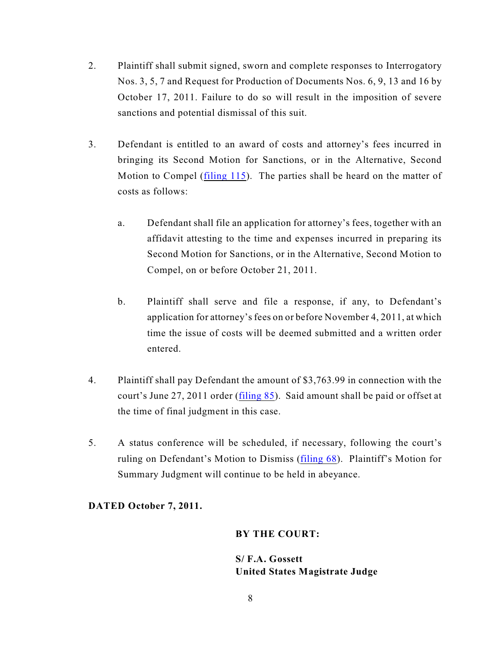- 2. Plaintiff shall submit signed, sworn and complete responses to Interrogatory Nos. 3, 5, 7 and Request for Production of Documents Nos. 6, 9, 13 and 16 by October 17, 2011. Failure to do so will result in the imposition of severe sanctions and potential dismissal of this suit.
- 3. Defendant is entitled to an award of costs and attorney's fees incurred in bringing its Second Motion for Sanctions, or in the Alternative, Second Motion to Compel ([filing 115](https://ecf.ned.uscourts.gov/doc1/11312321491)). The parties shall be heard on the matter of costs as follows:
	- a. Defendant shall file an application for attorney's fees, together with an affidavit attesting to the time and expenses incurred in preparing its Second Motion for Sanctions, or in the Alternative, Second Motion to Compel, on or before October 21, 2011.
	- b. Plaintiff shall serve and file a response, if any, to Defendant's application for attorney's fees on or before November 4, 2011, at which time the issue of costs will be deemed submitted and a written order entered.
- 4. Plaintiff shall pay Defendant the amount of \$3,763.99 in connection with the court's June 27, 2011 order [\(filing 85](https://ecf.ned.uscourts.gov/doc1/11312298496)). Said amount shall be paid or offset at the time of final judgment in this case.
- 5. A status conference will be scheduled, if necessary, following the court's ruling on Defendant's Motion to Dismiss ([filing 68](https://ecf.ned.uscourts.gov/doc1/11312259303)). Plaintiff's Motion for Summary Judgment will continue to be held in abeyance.

# **DATED October 7, 2011.**

### **BY THE COURT:**

**S/ F.A. Gossett United States Magistrate Judge**